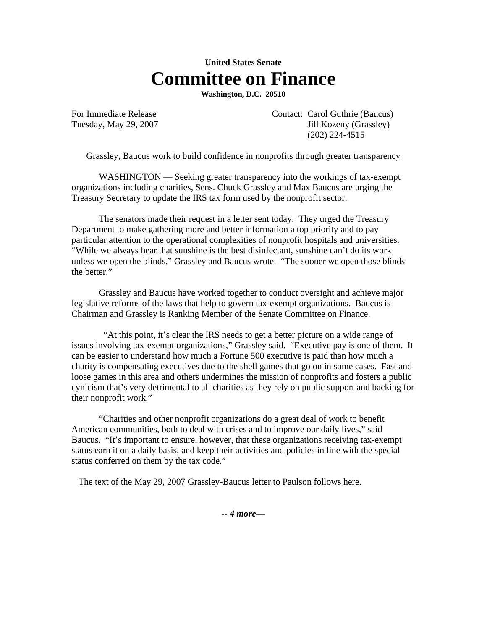## **United States Senate Committee on Finance**

**Washington, D.C. 20510**

For Immediate Release Contact: Carol Guthrie (Baucus) Tuesday, May 29, 2007 Jill Kozeny (Grassley) (202) 224-4515

Grassley, Baucus work to build confidence in nonprofits through greater transparency

WASHINGTON — Seeking greater transparency into the workings of tax-exempt organizations including charities, Sens. Chuck Grassley and Max Baucus are urging the Treasury Secretary to update the IRS tax form used by the nonprofit sector.

 The senators made their request in a letter sent today. They urged the Treasury Department to make gathering more and better information a top priority and to pay particular attention to the operational complexities of nonprofit hospitals and universities. "While we always hear that sunshine is the best disinfectant, sunshine can't do its work unless we open the blinds," Grassley and Baucus wrote. "The sooner we open those blinds the better."

 Grassley and Baucus have worked together to conduct oversight and achieve major legislative reforms of the laws that help to govern tax-exempt organizations. Baucus is Chairman and Grassley is Ranking Member of the Senate Committee on Finance.

 "At this point, it's clear the IRS needs to get a better picture on a wide range of issues involving tax-exempt organizations," Grassley said. "Executive pay is one of them. It can be easier to understand how much a Fortune 500 executive is paid than how much a charity is compensating executives due to the shell games that go on in some cases. Fast and loose games in this area and others undermines the mission of nonprofits and fosters a public cynicism that's very detrimental to all charities as they rely on public support and backing for their nonprofit work."

 "Charities and other nonprofit organizations do a great deal of work to benefit American communities, both to deal with crises and to improve our daily lives," said Baucus. "It's important to ensure, however, that these organizations receiving tax-exempt status earn it on a daily basis, and keep their activities and policies in line with the special status conferred on them by the tax code."

The text of the May 29, 2007 Grassley-Baucus letter to Paulson follows here.

*-- 4 more—*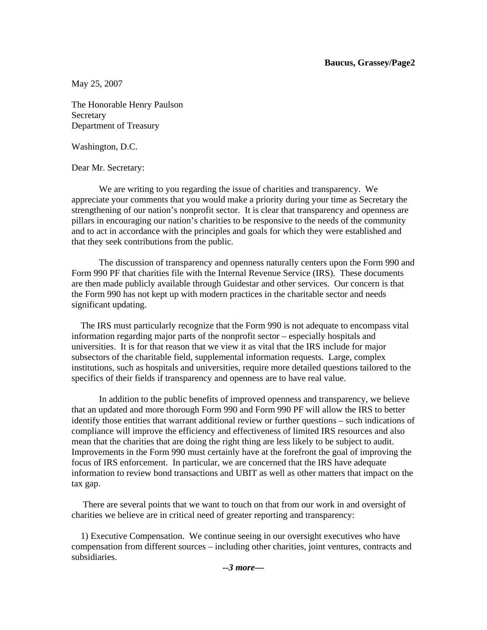## **Baucus, Grassey/Page2**

May 25, 2007

The Honorable Henry Paulson Secretary Department of Treasury

Washington, D.C.

Dear Mr. Secretary:

 We are writing to you regarding the issue of charities and transparency. We appreciate your comments that you would make a priority during your time as Secretary the strengthening of our nation's nonprofit sector. It is clear that transparency and openness are pillars in encouraging our nation's charities to be responsive to the needs of the community and to act in accordance with the principles and goals for which they were established and that they seek contributions from the public.

 The discussion of transparency and openness naturally centers upon the Form 990 and Form 990 PF that charities file with the Internal Revenue Service (IRS). These documents are then made publicly available through Guidestar and other services. Our concern is that the Form 990 has not kept up with modern practices in the charitable sector and needs significant updating.

 The IRS must particularly recognize that the Form 990 is not adequate to encompass vital information regarding major parts of the nonprofit sector – especially hospitals and universities. It is for that reason that we view it as vital that the IRS include for major subsectors of the charitable field, supplemental information requests. Large, complex institutions, such as hospitals and universities, require more detailed questions tailored to the specifics of their fields if transparency and openness are to have real value.

 In addition to the public benefits of improved openness and transparency, we believe that an updated and more thorough Form 990 and Form 990 PF will allow the IRS to better identify those entities that warrant additional review or further questions – such indications of compliance will improve the efficiency and effectiveness of limited IRS resources and also mean that the charities that are doing the right thing are less likely to be subject to audit. Improvements in the Form 990 must certainly have at the forefront the goal of improving the focus of IRS enforcement. In particular, we are concerned that the IRS have adequate information to review bond transactions and UBIT as well as other matters that impact on the tax gap.

 There are several points that we want to touch on that from our work in and oversight of charities we believe are in critical need of greater reporting and transparency:

 1) Executive Compensation. We continue seeing in our oversight executives who have compensation from different sources – including other charities, joint ventures, contracts and subsidiaries.

*--3 more—*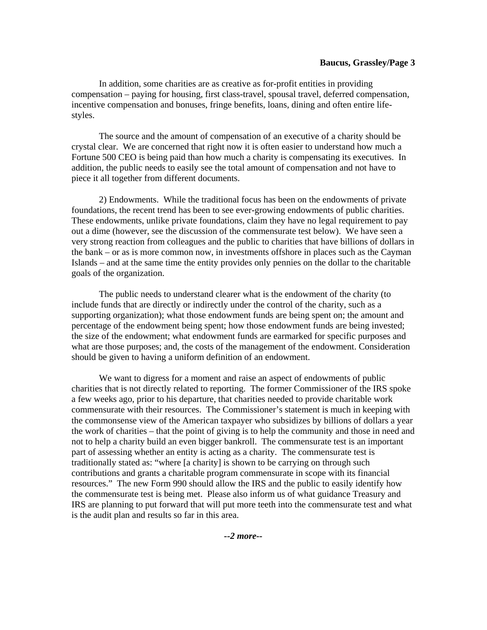## **Baucus, Grassley/Page 3**

 In addition, some charities are as creative as for-profit entities in providing compensation – paying for housing, first class-travel, spousal travel, deferred compensation, incentive compensation and bonuses, fringe benefits, loans, dining and often entire lifestyles.

 The source and the amount of compensation of an executive of a charity should be crystal clear. We are concerned that right now it is often easier to understand how much a Fortune 500 CEO is being paid than how much a charity is compensating its executives. In addition, the public needs to easily see the total amount of compensation and not have to piece it all together from different documents.

 2) Endowments. While the traditional focus has been on the endowments of private foundations, the recent trend has been to see ever-growing endowments of public charities. These endowments, unlike private foundations, claim they have no legal requirement to pay out a dime (however, see the discussion of the commensurate test below). We have seen a very strong reaction from colleagues and the public to charities that have billions of dollars in the bank – or as is more common now, in investments offshore in places such as the Cayman Islands – and at the same time the entity provides only pennies on the dollar to the charitable goals of the organization.

 The public needs to understand clearer what is the endowment of the charity (to include funds that are directly or indirectly under the control of the charity, such as a supporting organization); what those endowment funds are being spent on; the amount and percentage of the endowment being spent; how those endowment funds are being invested; the size of the endowment; what endowment funds are earmarked for specific purposes and what are those purposes; and, the costs of the management of the endowment. Consideration should be given to having a uniform definition of an endowment.

 We want to digress for a moment and raise an aspect of endowments of public charities that is not directly related to reporting. The former Commissioner of the IRS spoke a few weeks ago, prior to his departure, that charities needed to provide charitable work commensurate with their resources. The Commissioner's statement is much in keeping with the commonsense view of the American taxpayer who subsidizes by billions of dollars a year the work of charities – that the point of giving is to help the community and those in need and not to help a charity build an even bigger bankroll. The commensurate test is an important part of assessing whether an entity is acting as a charity. The commensurate test is traditionally stated as: "where [a charity] is shown to be carrying on through such contributions and grants a charitable program commensurate in scope with its financial resources." The new Form 990 should allow the IRS and the public to easily identify how the commensurate test is being met. Please also inform us of what guidance Treasury and IRS are planning to put forward that will put more teeth into the commensurate test and what is the audit plan and results so far in this area.

*--2 more--*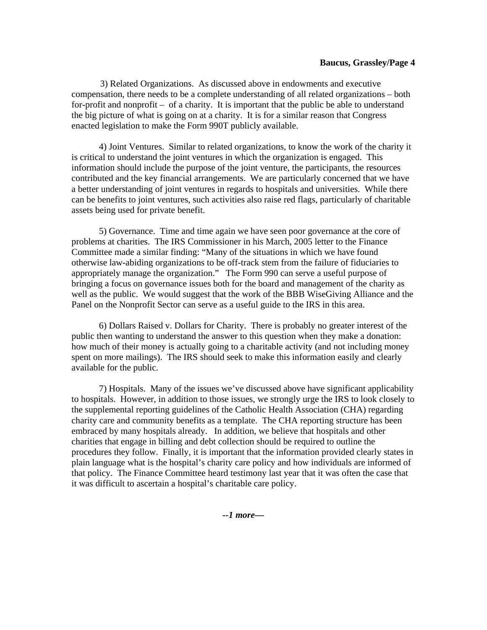## **Baucus, Grassley/Page 4**

3) Related Organizations. As discussed above in endowments and executive compensation, there needs to be a complete understanding of all related organizations – both for-profit and nonprofit – of a charity. It is important that the public be able to understand the big picture of what is going on at a charity. It is for a similar reason that Congress enacted legislation to make the Form 990T publicly available.

 4) Joint Ventures. Similar to related organizations, to know the work of the charity it is critical to understand the joint ventures in which the organization is engaged. This information should include the purpose of the joint venture, the participants, the resources contributed and the key financial arrangements. We are particularly concerned that we have a better understanding of joint ventures in regards to hospitals and universities. While there can be benefits to joint ventures, such activities also raise red flags, particularly of charitable assets being used for private benefit.

 5) Governance. Time and time again we have seen poor governance at the core of problems at charities. The IRS Commissioner in his March, 2005 letter to the Finance Committee made a similar finding: "Many of the situations in which we have found otherwise law-abiding organizations to be off-track stem from the failure of fiduciaries to appropriately manage the organization." The Form 990 can serve a useful purpose of bringing a focus on governance issues both for the board and management of the charity as well as the public. We would suggest that the work of the BBB WiseGiving Alliance and the Panel on the Nonprofit Sector can serve as a useful guide to the IRS in this area.

 6) Dollars Raised v. Dollars for Charity. There is probably no greater interest of the public then wanting to understand the answer to this question when they make a donation: how much of their money is actually going to a charitable activity (and not including money spent on more mailings). The IRS should seek to make this information easily and clearly available for the public.

 7) Hospitals. Many of the issues we've discussed above have significant applicability to hospitals. However, in addition to those issues, we strongly urge the IRS to look closely to the supplemental reporting guidelines of the Catholic Health Association (CHA) regarding charity care and community benefits as a template. The CHA reporting structure has been embraced by many hospitals already. In addition, we believe that hospitals and other charities that engage in billing and debt collection should be required to outline the procedures they follow. Finally, it is important that the information provided clearly states in plain language what is the hospital's charity care policy and how individuals are informed of that policy. The Finance Committee heard testimony last year that it was often the case that it was difficult to ascertain a hospital's charitable care policy.

*--1 more—*